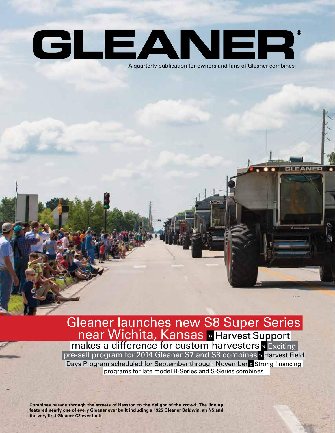### GLEANER  $^{\circledR}$ A quarterly publication for owners and fans of Gleaner combines

Gleaner launches new S8 Super Series near Wichita, Kansas » Harvest Support makes a difference for custom harvesters **»** Exciting

pre-sell program for 2014 Gleaner S7 and S8 combines » Harvest Field Days Program scheduled for September through November » Strong financing programs for late model R-Series and S-Series combines

**Combines parade through the streets of Hesston to the delight of the crowd. The line up featured nearly one of every Gleaner ever built including a 1925 Gleaner Baldwin, an N5 and the very first Gleaner C2 ever built.**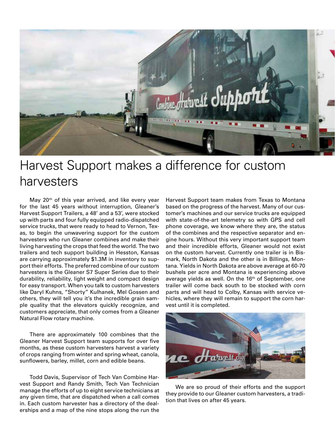

## Harvest Support makes a difference for custom harvesters

May 20<sup>th</sup> of this year arrived, and like every year for the last 45 years without interruption, Gleaner's Harvest Support Trailers, a 48' and a 53', were stocked up with parts and four fully equipped radio-dispatched service trucks, that were ready to head to Vernon, Texas, to begin the unwavering support for the custom harvesters who run Gleaner combines and make their living harvesting the crops that feed the world. The two trailers and tech support building in Hesston, Kansas are carrying approximately \$1.3M in inventory to support their efforts. The preferred combine of our custom harvesters is the Gleaner S7 Super Series due to their durability, reliability, light weight and compact design for easy transport. When you talk to custom harvesters like Daryl Kuhns, "Shorty" Kulhanek, Mel Gossen and others, they will tell you it's the incredible grain sample quality that the elevators quickly recognize, and customers appreciate, that only comes from a Gleaner Natural Flow rotary machine.

There are approximately 100 combines that the Gleaner Harvest Support team supports for over five months, as these custom harvesters harvest a variety of crops ranging from winter and spring wheat, canola, sunflowers, barley, millet, corn and edible beans.

Todd Davis, Supervisor of Tech Van Combine Harvest Support and Randy Smith, Tech Van Technician manage the efforts of up to eight service technicians at any given time, that are dispatched when a call comes in. Each custom harvester has a directory of the dealerships and a map of the nine stops along the run the

Harvest Support team makes from Texas to Montana based on the progress of the harvest. Many of our customer's machines and our service trucks are equipped with state-of-the-art telemetry so with GPS and cell phone coverage, we know where they are, the status of the combines and the respective separator and engine hours. Without this very important support team and their incredible efforts, Gleaner would not exist on the custom harvest. Currently one trailer is in Bismark, North Dakota and the other is in Billings, Montana. Yields in North Dakota are above average at 60-70 bushels per acre and Montana is experiencing above average yields as well. On the 16<sup>th</sup> of September, one trailer will come back south to be stocked with corn parts and will head to Colby, Kansas with service vehicles, where they will remain to support the corn harvest until it is completed.



We are so proud of their efforts and the support they provide to our Gleaner custom harvesters, a tradition that lives on after 45 years.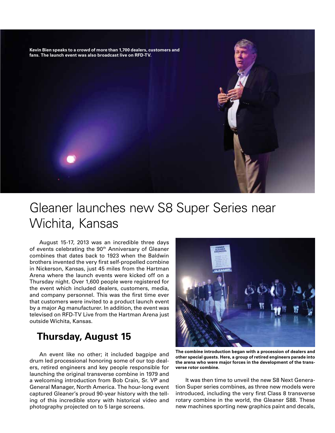**Kevin Bien speaks to a crowd of more than 1,700 dealers, customers and fans. The launch event was also broadcast live on RFD-TV.**

## Gleaner launches new S8 Super Series near Wichita, Kansas

August 15-17, 2013 was an incredible three days of events celebrating the 90<sup>th</sup> Anniversary of Gleaner combines that dates back to 1923 when the Baldwin brothers invented the very first self-propelled combine in Nickerson, Kansas, just 45 miles from the Hartman Arena where the launch events were kicked off on a Thursday night. Over 1,600 people were registered for the event which included dealers, customers, media, and company personnel. This was the first time ever that customers were invited to a product launch event by a major Ag manufacturer. In addition, the event was televised on RFD-TV Live from the Hartman Arena just outside Wichita, Kansas.

#### **Thursday, August 15**

An event like no other; it included bagpipe and drum led processional honoring some of our top dealers, retired engineers and key people responsible for launching the original transverse combine in 1979 and a welcoming introduction from Bob Crain, Sr. VP and General Manager, North America. The hour-long event captured Gleaner's proud 90-year history with the telling of this incredible story with historical video and photography projected on to 5 large screens.



**The combine introduction began with a procession of dealers and other special guests. Here, a group of retired engineers parade into the arena who were major forces in the development of the transverse rotor combine.** 

It was then time to unveil the new S8 Next Generation Super series combines, as three new models were introduced, including the very first Class 8 transverse rotary combine in the world, the Gleaner S88. These new machines sporting new graphics paint and decals,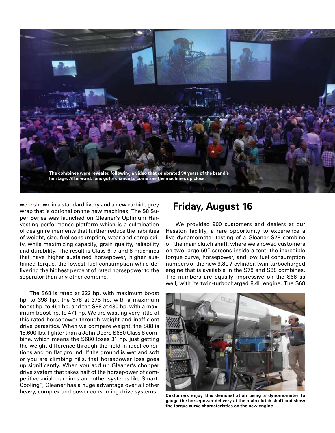

were shown in a standard livery and a new carbide grey wrap that is optional on the new machines. The S8 Super Series was launched on Gleaner's Optimum Harvesting performance platform which is a culmination of design refinements that further reduce the liabilities of weight, size, fuel consumption, wear and complexity, while maximizing capacity, grain quality, reliability and durability. The result is Class 6, 7 and 8 machines that have higher sustained horsepower, higher sustained torque, the lowest fuel consumption while delivering the highest percent of rated horsepower to the separator than any other combine.

The S68 is rated at 322 hp. with maximum boost hp. to 398 hp., the S78 at 375 hp. with a maximum boost hp. to 451 hp. and the S88 at 430 hp. with a maximum boost hp. to 471 hp. We are wasting very little of this rated horsepower through weight and inefficient drive parasitics. When we compare weight, the S88 is 15,600 lbs. lighter than a John Deere S680 Class 8 combine, which means the S680 loses 31 hp. just getting the weight difference through the field in ideal conditions and on flat ground. If the ground is wet and soft or you are climbing hills, that horsepower loss goes up significantly. When you add up Gleaner's chopper drive system that takes half of the horsepower of competitive axial machines and other systems like Smart-Cooling™, Gleaner has a huge advantage over all other heavy, complex and power consuming drive systems.

#### **Friday, August 16**

We provided 900 customers and dealers at our Hesston facility, a rare opportunity to experience a live dynamometer testing of a Gleaner S78 combine off the main clutch shaft, where we showed customers on two large 50" screens inside a tent, the incredible torque curve, horsepower, and low fuel consumption numbers of the new 9.8L 7-cylinder, twin-turbocharged engine that is available in the S78 and S88 combines. The numbers are equally impressive on the S68 as well, with its twin-turbocharged 8.4L engine. The S68



**Customers enjoy this demonstration using a dynomometer to gauge the horsepower delivery at the main clutch shaft and show the torque curve characteristics on the new engine.**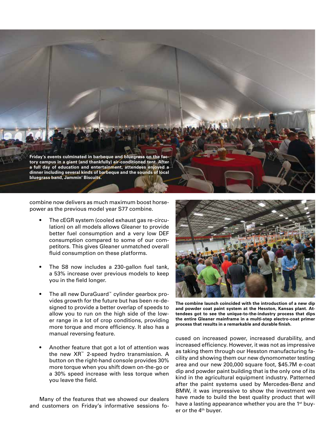

combine now delivers as much maximum boost horsepower as the previous model year S77 combine.

- The cEGR system (cooled exhaust gas re-circulation) on all models allows Gleaner to provide better fuel consumption and a very low DEF consumption compared to some of our competitors. This gives Gleaner unmatched overall fluid consumption on these platforms.
- The S8 now includes a 230-gallon fuel tank, a 53% increase over previous models to keep you in the field longer.
- The all new DuraGuard™ cylinder gearbox provides growth for the future but has been re-designed to provide a better overlap of speeds to allow you to run on the high side of the lower range in a lot of crop conditions, providing more torque and more efficiency. It also has a manual reversing feature.
- Another feature that got a lot of attention was the new XR™ 2-speed hydro transmission. A button on the right-hand console provides 30% more torque when you shift down on-the-go or a 30% speed increase with less torque when you leave the field.

Many of the features that we showed our dealers and customers on Friday's informative sessions fo-



**The combine launch coincided with the introduction of a new dip and powder coat paint system at the Hesston, Kansas plant. Attendees got to see the unique-to-the-industry process that dips the entire Gleaner mainframe in a multi-step electro-coat primer process that results in a remarkable and durable finish.** 

cused on increased power, increased durability, and increased efficiency. However, it was not as impressive as taking them through our Hesston manufacturing facility and showing them our new dynomometer testing area and our new 200,000 square foot, \$45.7M e-coat dip and powder paint building that is the only one of its kind in the agricultural equipment industry. Patterned after the paint systems used by Mercedes-Benz and BMW, it was impressive to show the investment we have made to build the best quality product that will have a lasting appearance whether you are the 1<sup>st</sup> buyer or the 4<sup>th</sup> buyer.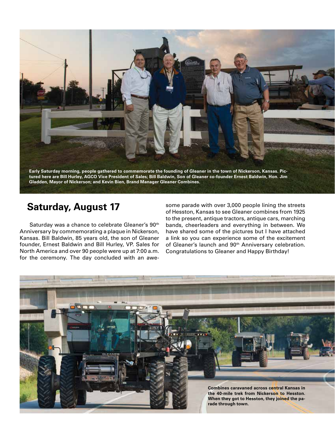

#### **Saturday, August 17**

Saturday was a chance to celebrate Gleaner's 90<sup>th</sup> Anniversary by commemorating a plaque in Nickerson, Kansas. Bill Baldwin, 85 years old, the son of Gleaner founder, Ernest Baldwin and Bill Hurley, VP. Sales for North America and over 90 people were up at 7:00 a.m. for the ceremony. The day concluded with an awe-

some parade with over 3,000 people lining the streets of Hesston, Kansas to see Gleaner combines from 1925 to the present, antique tractors, antique cars, marching bands, cheerleaders and everything in between. We have shared some of the pictures but I have attached a link so you can experience some of the excitement of Gleaner's launch and 90<sup>th</sup> Anniversary celebration. Congratulations to Gleaner and Happy Birthday!

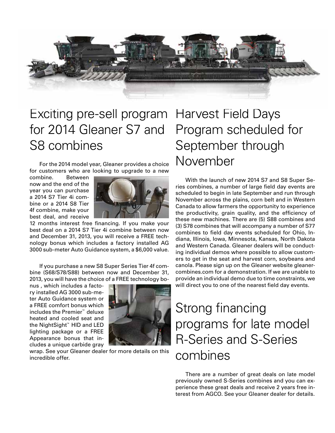

## Exciting pre-sell program Harvest Field Days for 2014 Gleaner S7 and S8 combines

For the 2014 model year, Gleaner provides a choice for customers who are looking to upgrade to a new

combine. Between now and the end of the year you can purchase a 2014 S7 Tier 4i combine or a 2014 S8 Tier 4f combine, make your best deal, and receive



12 months interest free financing. If you make your best deal on a 2014 S7 Tier 4i combine between now and December 31, 2013, you will receive a FREE technology bonus which includes a factory installed AG 3000 sub-meter Auto Guidance system, a \$6,000 value.

If you purchase a new S8 Super Series Tier 4f combine (S68/S78/S88) between now and December 31, 2013, you will have the choice of a FREE technology bo-

nus , which includes a factory installed AG 3000 sub-meter Auto Guidance system or a FREE comfort bonus which includes the Premier™ deluxe heated and cooled seat and the NightSight™ HID and LED lighting package or a FREE Appearance bonus that includes a unique carbide gray



wrap. See your Gleaner dealer for more details on this incredible offer.

# Program scheduled for September through November

With the launch of new 2014 S7 and S8 Super Series combines, a number of large field day events are scheduled to begin in late September and run through November across the plains, corn belt and in Western Canada to allow farmers the opportunity to experience the productivity, grain quality, and the efficiency of these new machines. There are (5) S88 combines and (3) S78 combines that will accompany a number of S77 combines to field day events scheduled for Ohio, Indiana, Illinois, Iowa, Minnesota, Kansas, North Dakota and Western Canada. Gleaner dealers will be conducting individual demos where possible to allow customers to get in the seat and harvest corn, soybeans and canola. Please sign up on the Gleaner website gleanercombines.com for a demonstration. If we are unable to provide an individual demo due to time constraints, we will direct you to one of the nearest field day events.

## Strong financing programs for late model R-Series and S-Series combines

There are a number of great deals on late model previously owned S-Series combines and you can experience these great deals and receive 2 years free interest from AGCO. See your Gleaner dealer for details.